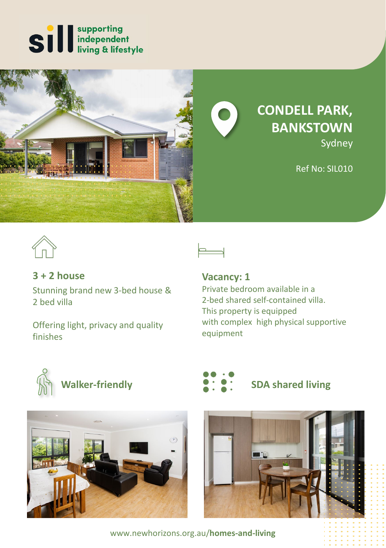



**CONDELL PARK, BANKSTOWN** Sydney

Ref No: SIL010



# **3 + 2 house**

Stunning brand new 3-bed house & 2 bed villa

Offering light, privacy and quality finishes

# **Vacancy: 1**

Private bedroom available in a 2-bed shared self-contained villa. This property is equipped with complex high physical supportive equipment









www.newhorizons.org.au/**homes-and-living**